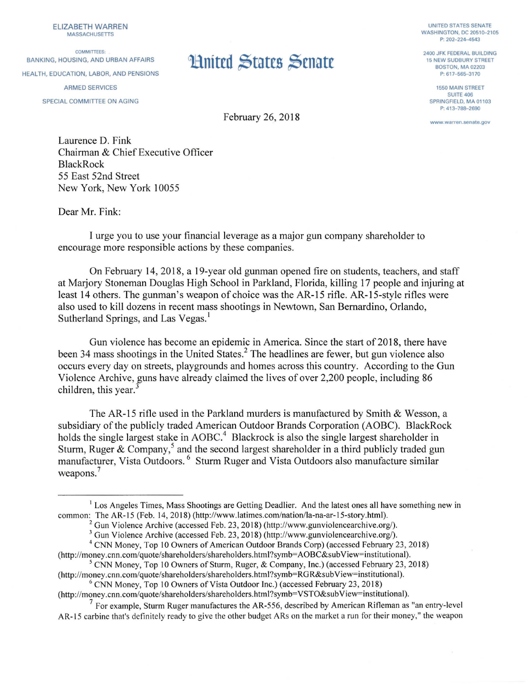ELIZABETH WARREN MASSACHUSETIS

COMMITTEES: BANKING, HOUSING, AND URBAN AFFAIRS **11 MITTED STATES** ARMED SERVICES SPECIAL COMMITTEE ON AGING

UNITED STATES SENATE WASHINGTON, DC 20510-2105 P: 202-224-4543

2400 JFK FEDERAL BUILDING 15 NEW SUDBURY STREET BOSTON, MA 02203 P: 617-565-3170

> 1550 MAIN STREET SUITE 406 SPRINGFIELD, MA 01103 P: 413-788-2690

**www.warren.senate.gov** 

February 26, 2018

Laurence D. Fink Chairman & Chief Executive Officer BlackRock 55 East 52nd Street New York, New York 10055

Dear Mr. Fink:

I urge you to use your financial leverage as a major gun company shareholder to encourage more responsible actions by these companies.

On February 14, 2018, a 19-year old gunman opened fire on students, teachers, and staff at Marjory Stoneman Douglas High School in Parkland, Florida, killing 17 people and injuring at least 14 others. The gunman's weapon of choice was the AR-15 rifle. AR-15-style rifles were also used to kill dozens in recent mass shootings in Newtown, San Bernardino, Orlando, Sutherland Springs, and Las Vegas.<sup>1</sup>

Gun violence has become an epidemic in America. Since the start of 2018, there have been 34 mass shootings in the United States.<sup>2</sup> The headlines are fewer, but gun violence also occurs every day on streets, playgrounds and homes across this country. According to the Gun Violence Archive, guns have already claimed the lives of over 2,200 people, including 86 children, this year.<sup>3</sup>

The AR-15 rifle used in the Parkland murders is manufactured by Smith & Wesson, a subsidiary of the publicly traded American Outdoor Brands Corporation (AOBC). BlackRock holds the single largest stake in AOBC.<sup>4</sup> Blackrock is also the single largest shareholder in Sturm, Ruger & Company,<sup>5</sup> and the second largest shareholder in a third publicly traded gun manufacturer, Vista Outdoors. 6 Sturm Ruger and Vista Outdoors also manufacture similar weapons.<sup>7</sup>

<sup>&</sup>lt;sup>1</sup> Los Angeles Times, Mass Shootings are Getting Deadlier. And the latest ones all have something new in common: The AR-15 (Feb. 14, 2018) (http://www.latimes.com/nation/la-na-ar-15-story.html).

<sup>&</sup>lt;sup>2</sup> Gun Violence Archive (accessed Feb. 23, 2018) (http://www.gunviolencearchive.org/).<br><sup>3</sup> Gun Violence Archive (accessed Feb. 23, 2018) (http://www.gunviolencearchive.org/).

<sup>&</sup>lt;sup>4</sup> CNN Money, Top 10 Owners of American Outdoor Brands Corp) (accessed February 23, 2018)<br>(http://money.cnn.com/quote/shareholders/shareholders.html?symb=AOBC&subView=institutional).

<sup>&</sup>lt;sup>5</sup> CNN Money, Top 10 Owners of Sturm, Ruger, & Company, Inc.) (accessed February 23, 2018).

<sup>(</sup>http://money.cnn.com/quote/shareholders/shareholders.html?symb=RGR&subView=institutional).<br><sup>6</sup> CNN Money, Top 10 Owners of Vista Outdoor Inc.) (accessed February 23, 2018)

<sup>(</sup>http://money.cnn.com/quote/shareholders/shareholders.html?symb=VSTO&subView=institutional).

 $<sup>7</sup>$  For example, Sturm Ruger manufactures the AR-556, described by American Rifleman as "an entry-level</sup> AR-15 carbine that's definitely ready to give the other budget ARs on the market a run for their money," the weapon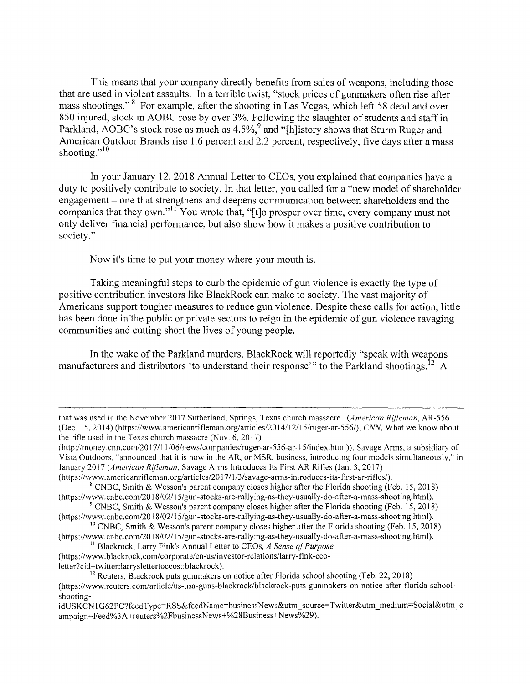This means that your company directly benefits from sales of weapons, including those that are used in violent assaults. In a terrible twist, "stock prices of gunrnakers often rise after mass shootings."<sup>8</sup> For example, after the shooting in Las Vegas, which left 58 dead and over 850 injured, stock in AOBC rose by over 3%. Following the slaughter of students and staff in Parkland, AOBC's stock rose as much as 4.5%,<sup>9</sup> and "[h]istory shows that Sturm Ruger and American Outdoor Brands rise 1.6 percent and 2.2 percent, respectively, five days after a mass shooting."<sup>10</sup>

In your January 12, 2018 Annual Letter to CEOs, you explained that companies have a duty to positively contribute to society. In that letter, you called for a "new model of shareholder engagement - one that strengthens and deepens communication between shareholders and the companies that they own."<sup>11</sup> You wrote that, "[t]o prosper over time, every company must not only deliver financial performance, but also show how it makes a positive contribution to society."

Now it's time to put your money where your mouth is.

Taking meaningful steps to curb the epidemic of gun violence is exactly the type of positive contribution investors like BlackRock can make to society. The vast majority of Americans support tougher measures to reduce gun violence. Despite these calls for action, little has been done in the public or private sectors to reign in the epidemic of gun violence ravaging communities and cutting short the lives of young people.

In the wake of the Parkland murders, BlackRock will reportedly "speak with weapons manufacturers and distributors 'to understand their response'" to the Parkland shootings.<sup>12</sup> A

that was used in the November 2017 Sutherland, Springs, Texas church massacre. *(American R(fleman,* AR-556 (Dec. 15, 2014) (https://www.americanrifleman.org/articles/2014/12/15/ruger-ar-556/); CNN, What we know about the rifle used in the Texas church massacre (Nov. 6, 2017)

<sup>(</sup>http://money.cnn.com/2017/11/06/news/companies/ruger-ar-556-ar-15/index.html)). Savage Arms, a subsidiary of Vista Outdoors, "announced that it is now in the AR, or MSR, business, introducing four models simultaneously," in January 2017 *(American R(fleman,* Savage Arms Introduces Its First AR Rifles (Jan. 3, 2017)

<sup>(</sup>https://www.americanrifleman.org/articles/2017/1/3/savage-arms-introduces-its-first-ar-rifles/).<br><sup>8</sup> CNBC, Smith & Wesson's parent company closes higher after the Florida shooting (Feb. 15, 2018)

<sup>(</sup>https://www.cnbc.com/2018/02/15/gun-stocks-are-rallying-as-they-usually-do-after-a-mass-shooting.html). 9 CNBC, Smith & Wesson's parent company closes higher after the Florida shooting (Feb. 15, 2018)

<sup>(</sup>https :/ /www.cnbc.com/2018/02/ 15/ gun-stocks-are-rallying-as-they-usually-do-after-a-mass-shooting.html). 1

<sup>&</sup>lt;sup>10</sup> CNBC, Smith & Wesson's parent company closes higher after the Florida shooting (Feb. 15, 2018) (https ://www.cnbc.com/20 1 8/02/ 15/ gun-stocks-are-rallying-as-they-usually-do-after-a-mass-shooting.html). 11 Blackrock, Larry Fink's Annual Letter to CEOs, *A Sense of Purpose* 

<sup>(</sup>https://www.blackrock.com/corporate/en-us/investor-relations/larry-fink-ceo-<br>letter?cid=twitter:larryslettertoceos::blackrock).

<sup>&</sup>lt;sup>12</sup> Reuters. Blackrock puts gunmakers on notice after Florida school shooting (Feb. 22, 2018) (https://www.reuters.com/article/us-usa-guns-blackrock/blackrock-puts-gunmakers-on-notice-after-florida-schoolshooting-

idUSKCN1G62PC?feedType=RSS&feedName=businessNews&utm\_source=Twitter&utm\_medium=Social&utm\_c ampaign=Feed%3A+reuters%2FbusinessNews+%28Business+News%29).